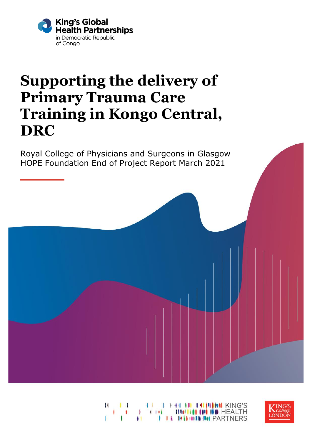

# **Supporting the delivery of Primary Trauma Care Training in Kongo Central, DRC**

Royal College of Physicians and Surgeons in Glasgow HOPE Foundation End of Project Report March 2021



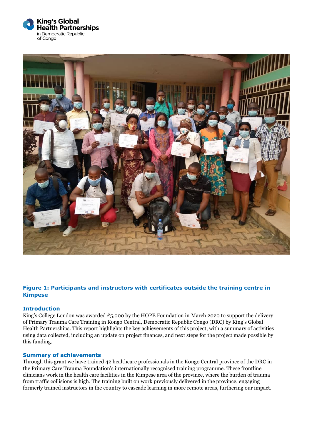



#### **Figure 1: Participants and instructors with certificates outside the training centre in Kimpese**

#### **Introduction**

King's College London was awarded £5,000 by the HOPE Foundation in March 2020 to support the delivery of Primary Trauma Care Training in Kongo Central, Democratic Republic Congo (DRC) by King's Global Health Partnerships. This report highlights the key achievements of this project, with a summary of activities using data collected, including an update on project finances, and next steps for the project made possible by this funding.

#### **Summary of achievements**

Through this grant we have trained 42 healthcare professionals in the Kongo Central province of the DRC in the Primary Care Trauma Foundation's internationally recognised training programme. These frontline clinicians work in the health care facilities in the Kimpese area of the province, where the burden of trauma from traffic collisions is high. The training built on work previously delivered in the province, engaging formerly trained instructors in the country to cascade learning in more remote areas, furthering our impact.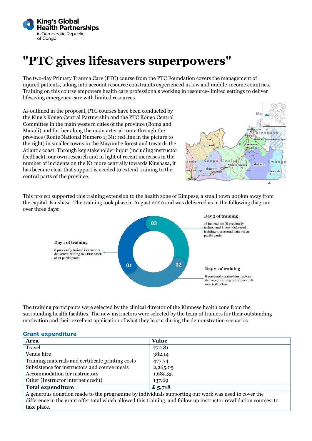

## **"PTC gives lifesavers superpowers"**

The two-day Primary Trauma Care (PTC) course from the PTC Foundation covers the management of injured patients, taking into account resource constraints experienced in low and middle-income countries. Training on this course empowers health care professionals working in resource-limited settings to deliver lifesaving emergency care with limited resources.

As outlined in the proposal, PTC courses have been conducted by the King's Kongo Central Partnership and the PTC Kongo Central Committee in the main western cities of the province (Boma and Matadi) and further along the main arterial route through the province (Route National Numero 1; N1; red line in the picture to the right) in smaller towns in the Mayumbe forest and towards the Atlantic coast. Through key stakeholder input (including instructor feedback), our own research and in light of recent increases in the number of incidents on the N1 more centrally towards Kinshasa, it has become clear that support is needed to extend training to the central parts of the province.



This project supported this training extension to the health zone of Kimpese, a small town 200km away from the capital, Kinshasa. The training took place in August 2020 and was delivered as in the following diagram over three days:



The training participants were selected by the clinical director of the Kimpese health zone from the surrounding health facilities. The new instructors were selected by the team of trainers for their outstanding motivation and their excellent application of what they learnt during the demonstration scenarios.

#### **Grant expenditure**

| Area                                                                                                               | Value    |
|--------------------------------------------------------------------------------------------------------------------|----------|
| Travel                                                                                                             | 770.81   |
| Venue hire                                                                                                         | 382.14   |
| Training materials and certificate printing costs                                                                  | 477.74   |
| Subsistence for instructors and course meals                                                                       | 2,265.05 |
| Accommodation for instructors                                                                                      | 1,685.35 |
| Other (Instructor internet credit)                                                                                 | 137.69   |
| <b>Total expenditure</b>                                                                                           | £ 5,718  |
| A generous donation made to the programme by individuals supporting our work was used to cover the                 |          |
| difference in the grant offer total which allowed this training, and follow up instructor revalidation courses, to |          |
| take place.                                                                                                        |          |